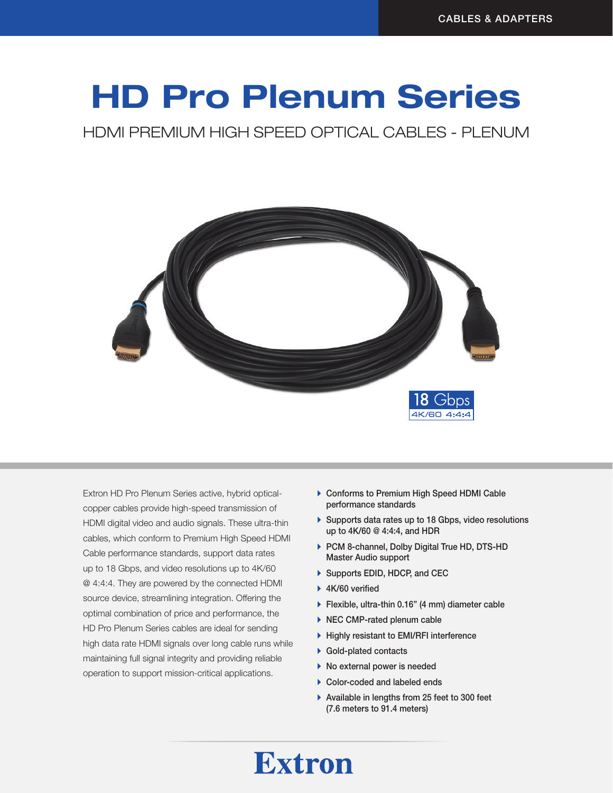# HD Pro Plenum Series

HDMI PREMIUM HIGH SPEED OPTICAL CABLES - PLENUM



Extron HD Pro Plenum Series active, hybrid opticalcopper cables provide high-speed transmission of HDMI digital video and audio signals. These ultra-thin cables, which conform to Premium High Speed HDMI Cable performance standards, support data rates up to 18 Gbps, and video resolutions up to 4K/60 @ 4:4:4. They are powered by the connected HDMI source device, streamlining integration. Offering the optimal combination of price and performance, the HD Pro Plenum Series cables are ideal for sending high data rate HDMI signals over long cable runs while maintaining full signal integrity and providing reliable operation to support mission-critical applications.

- ▶ Conforms to Premium High Speed HDMI Cable performance standards
- $\triangleright$  Supports data rates up to 18 Gbps, video resolutions up to 4K/60 @ 4:4:4, and HDR
- ▶ PCM 8-channel, Dolby Digital True HD, DTS-HD Master Audio support
- ▶ Supports EDID, HDCP, and CEC
- $\blacktriangleright$  4K/60 verified
- ▶ Flexible, ultra-thin 0.16" (4 mm) diameter cable
- $\triangleright$  NEC CMP-rated plenum cable
- $\blacktriangleright$  Highly resistant to EMI/RFI interference
- $\blacktriangleright$  Gold-plated contacts
- $\blacktriangleright$  No external power is needed
- $\triangleright$  Color-coded and labeled ends
- $\blacktriangleright$  Available in lengths from 25 feet to 300 feet (7.6 meters to 91.4 meters)

## **Extron**